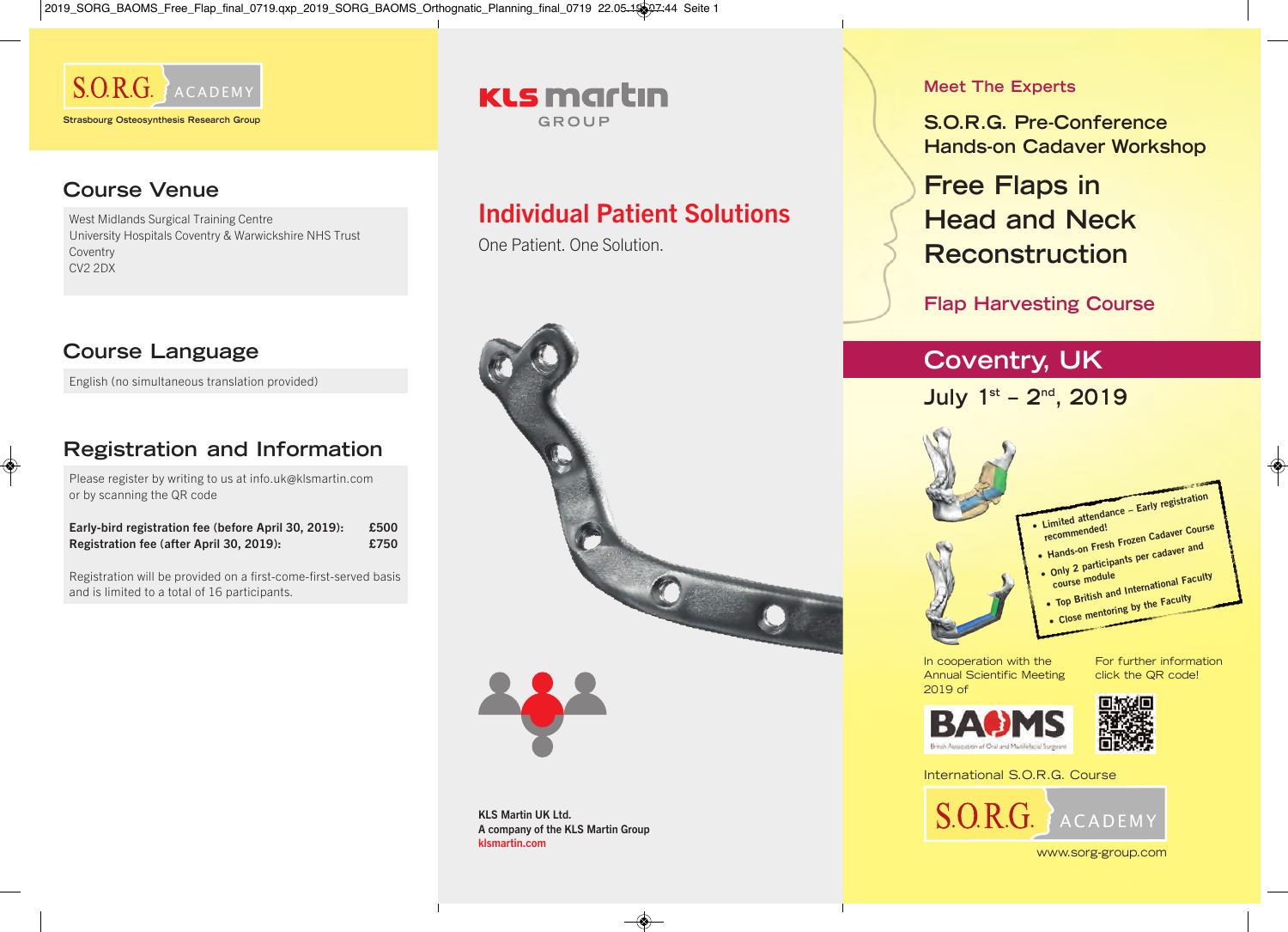

## **Course Venue**

West Midlands Surgical Training Centre University Hospitals Coventry & Warwickshire NHS Trust Coventry CV2 2DX

#### **Course Language**

English (no simultaneous translation provided)

## **Registration and Information**

Please register by writing to us at info.uk@klsmartin.com or by scanning the QR code

| Early-bird registration fee (before April 30, 2019): | £500 |
|------------------------------------------------------|------|
| Registration fee (after April 30, 2019):             | £750 |

Registration will be provided on a first-come-first-served basis and is limited to a total of 16 participants.

### **KLS martin GROUP**

# Individual Patient Solutions

One Patient. One Solution.



KLS Martin UK Ltd. A company of the KLS Martin Group klsmartin.com

#### **Meet The Experts**

**S.O.R.G. Pre-Conference Hands-on Cadaver Workshop**

# **Free Flaps in Head and Neck Reconstruction**

**Flap Harvesting Course**

# **Coventry, UK**

**July 1st – 2nd, 2019**



In cooperation with the Annual Scientific Meeting 2019 of

For further information click the QR code!





International S.O.R.G. Course



www.sorg-group.com